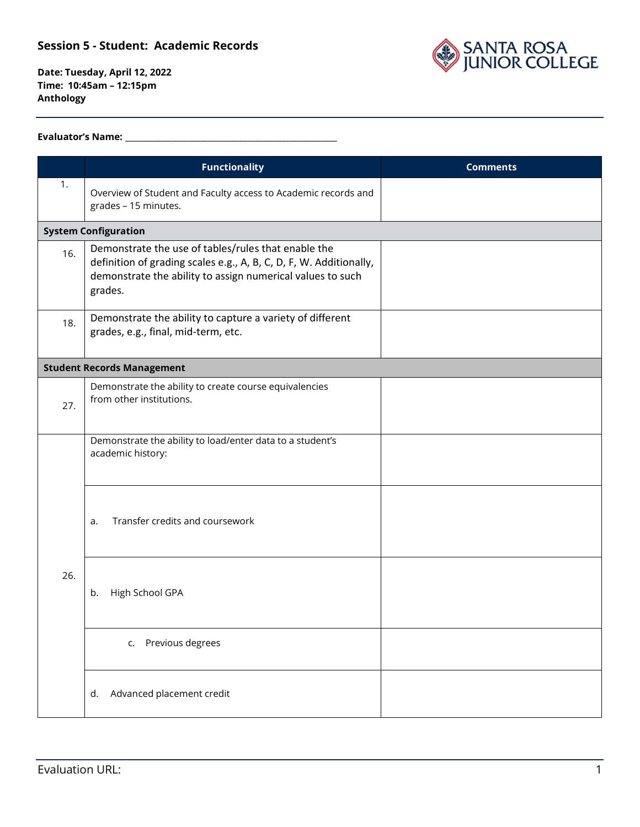

**Date: Tuesday, April 12, 2022 Time: 10:45am – 12:15pm Anthology**

#### **Evaluator's Name: \_\_\_\_\_\_\_\_\_\_\_\_\_\_\_\_\_\_\_\_\_\_\_\_\_\_\_\_\_\_\_\_\_\_\_\_\_\_\_\_\_\_\_\_\_\_\_\_\_\_\_\_\_\_**

|     | <b>Functionality</b>                                                                                                                                                                               | <b>Comments</b> |
|-----|----------------------------------------------------------------------------------------------------------------------------------------------------------------------------------------------------|-----------------|
| 1.  | Overview of Student and Faculty access to Academic records and<br>grades - 15 minutes.                                                                                                             |                 |
|     | <b>System Configuration</b>                                                                                                                                                                        |                 |
| 16. | Demonstrate the use of tables/rules that enable the<br>definition of grading scales e.g., A, B, C, D, F, W. Additionally,<br>demonstrate the ability to assign numerical values to such<br>grades. |                 |
| 18. | Demonstrate the ability to capture a variety of different<br>grades, e.g., final, mid-term, etc.                                                                                                   |                 |
|     | <b>Student Records Management</b>                                                                                                                                                                  |                 |
| 27. | Demonstrate the ability to create course equivalencies<br>from other institutions.                                                                                                                 |                 |
|     | Demonstrate the ability to load/enter data to a student's<br>academic history:                                                                                                                     |                 |
|     | Transfer credits and coursework<br>a.                                                                                                                                                              |                 |
| 26. | High School GPA<br>b.                                                                                                                                                                              |                 |
|     | Previous degrees<br>C.                                                                                                                                                                             |                 |
|     | Advanced placement credit<br>d.                                                                                                                                                                    |                 |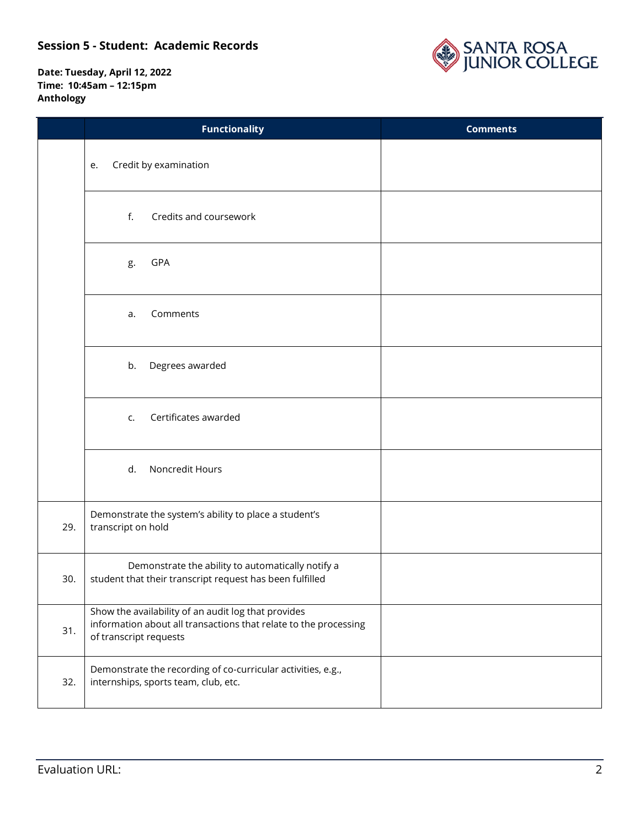

|     | <b>Functionality</b>                                                                                                                              | <b>Comments</b> |
|-----|---------------------------------------------------------------------------------------------------------------------------------------------------|-----------------|
|     | Credit by examination<br>e.                                                                                                                       |                 |
|     | f.<br>Credits and coursework                                                                                                                      |                 |
|     | GPA<br>g.                                                                                                                                         |                 |
|     | Comments<br>a.                                                                                                                                    |                 |
|     | Degrees awarded<br>b.                                                                                                                             |                 |
|     | Certificates awarded<br>c.                                                                                                                        |                 |
|     | Noncredit Hours<br>d.                                                                                                                             |                 |
| 29. | Demonstrate the system's ability to place a student's<br>transcript on hold                                                                       |                 |
| 30. | Demonstrate the ability to automatically notify a<br>student that their transcript request has been fulfilled                                     |                 |
| 31. | Show the availability of an audit log that provides<br>information about all transactions that relate to the processing<br>of transcript requests |                 |
| 32. | Demonstrate the recording of co-curricular activities, e.g.,<br>internships, sports team, club, etc.                                              |                 |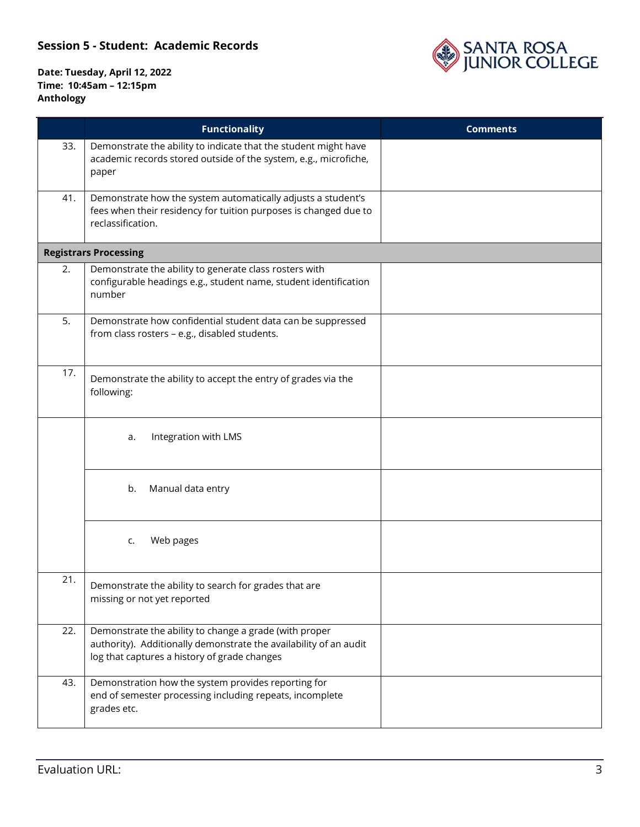

|     | <b>Functionality</b>                                                                                                                                                        | <b>Comments</b> |
|-----|-----------------------------------------------------------------------------------------------------------------------------------------------------------------------------|-----------------|
| 33. | Demonstrate the ability to indicate that the student might have<br>academic records stored outside of the system, e.g., microfiche,<br>paper                                |                 |
| 41. | Demonstrate how the system automatically adjusts a student's<br>fees when their residency for tuition purposes is changed due to<br>reclassification.                       |                 |
|     | <b>Registrars Processing</b>                                                                                                                                                |                 |
| 2.  | Demonstrate the ability to generate class rosters with<br>configurable headings e.g., student name, student identification<br>number                                        |                 |
| 5.  | Demonstrate how confidential student data can be suppressed<br>from class rosters - e.g., disabled students.                                                                |                 |
| 17. | Demonstrate the ability to accept the entry of grades via the<br>following:                                                                                                 |                 |
|     | Integration with LMS<br>a.                                                                                                                                                  |                 |
|     | Manual data entry<br>b.                                                                                                                                                     |                 |
|     | Web pages<br>c.                                                                                                                                                             |                 |
| 21. | Demonstrate the ability to search for grades that are<br>missing or not yet reported                                                                                        |                 |
| 22. | Demonstrate the ability to change a grade (with proper<br>authority). Additionally demonstrate the availability of an audit<br>log that captures a history of grade changes |                 |
| 43. | Demonstration how the system provides reporting for<br>end of semester processing including repeats, incomplete<br>grades etc.                                              |                 |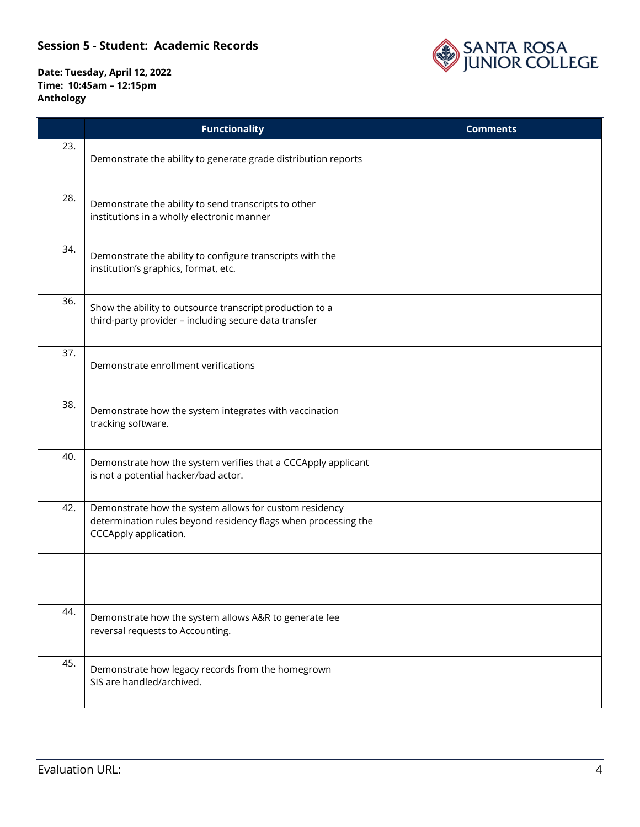

|     | <b>Functionality</b>                                                                                                                              | <b>Comments</b> |
|-----|---------------------------------------------------------------------------------------------------------------------------------------------------|-----------------|
| 23. | Demonstrate the ability to generate grade distribution reports                                                                                    |                 |
| 28. | Demonstrate the ability to send transcripts to other<br>institutions in a wholly electronic manner                                                |                 |
| 34. | Demonstrate the ability to configure transcripts with the<br>institution's graphics, format, etc.                                                 |                 |
| 36. | Show the ability to outsource transcript production to a<br>third-party provider - including secure data transfer                                 |                 |
| 37. | Demonstrate enrollment verifications                                                                                                              |                 |
| 38. | Demonstrate how the system integrates with vaccination<br>tracking software.                                                                      |                 |
| 40. | Demonstrate how the system verifies that a CCCApply applicant<br>is not a potential hacker/bad actor.                                             |                 |
| 42. | Demonstrate how the system allows for custom residency<br>determination rules beyond residency flags when processing the<br>CCCApply application. |                 |
|     |                                                                                                                                                   |                 |
| 44. | Demonstrate how the system allows A&R to generate fee<br>reversal requests to Accounting.                                                         |                 |
| 45. | Demonstrate how legacy records from the homegrown<br>SIS are handled/archived.                                                                    |                 |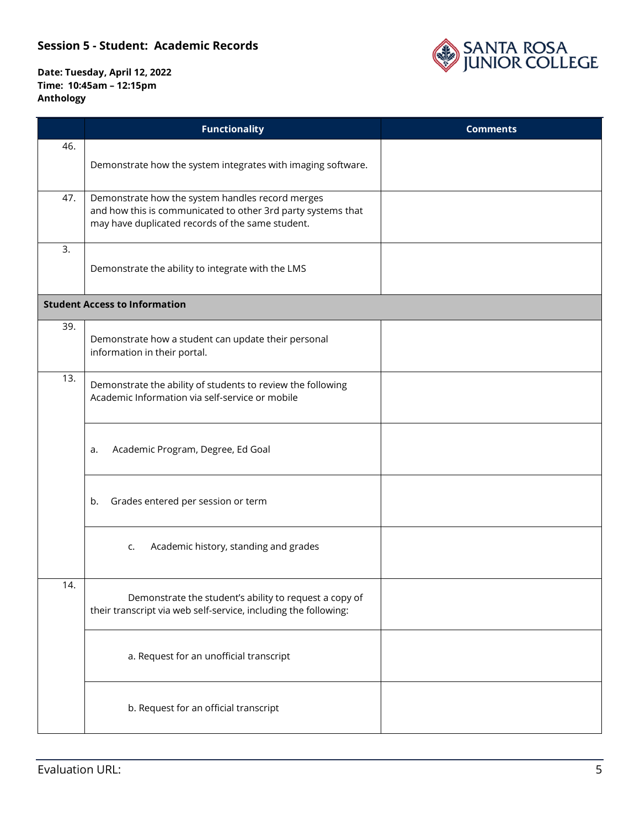

|     | <b>Functionality</b>                                                                                                      | <b>Comments</b> |
|-----|---------------------------------------------------------------------------------------------------------------------------|-----------------|
| 46. |                                                                                                                           |                 |
|     | Demonstrate how the system integrates with imaging software.                                                              |                 |
| 47. | Demonstrate how the system handles record merges                                                                          |                 |
|     | and how this is communicated to other 3rd party systems that<br>may have duplicated records of the same student.          |                 |
| 3.  |                                                                                                                           |                 |
|     | Demonstrate the ability to integrate with the LMS                                                                         |                 |
|     | <b>Student Access to Information</b>                                                                                      |                 |
| 39. | Demonstrate how a student can update their personal                                                                       |                 |
|     | information in their portal.                                                                                              |                 |
| 13. | Demonstrate the ability of students to review the following                                                               |                 |
|     | Academic Information via self-service or mobile                                                                           |                 |
|     |                                                                                                                           |                 |
|     | Academic Program, Degree, Ed Goal<br>a.                                                                                   |                 |
|     |                                                                                                                           |                 |
|     | Grades entered per session or term<br>b.                                                                                  |                 |
|     |                                                                                                                           |                 |
|     | Academic history, standing and grades<br>c.                                                                               |                 |
|     |                                                                                                                           |                 |
| 14. |                                                                                                                           |                 |
|     | Demonstrate the student's ability to request a copy of<br>their transcript via web self-service, including the following: |                 |
|     |                                                                                                                           |                 |
|     | a. Request for an unofficial transcript                                                                                   |                 |
|     |                                                                                                                           |                 |
|     |                                                                                                                           |                 |
|     | b. Request for an official transcript                                                                                     |                 |
|     |                                                                                                                           |                 |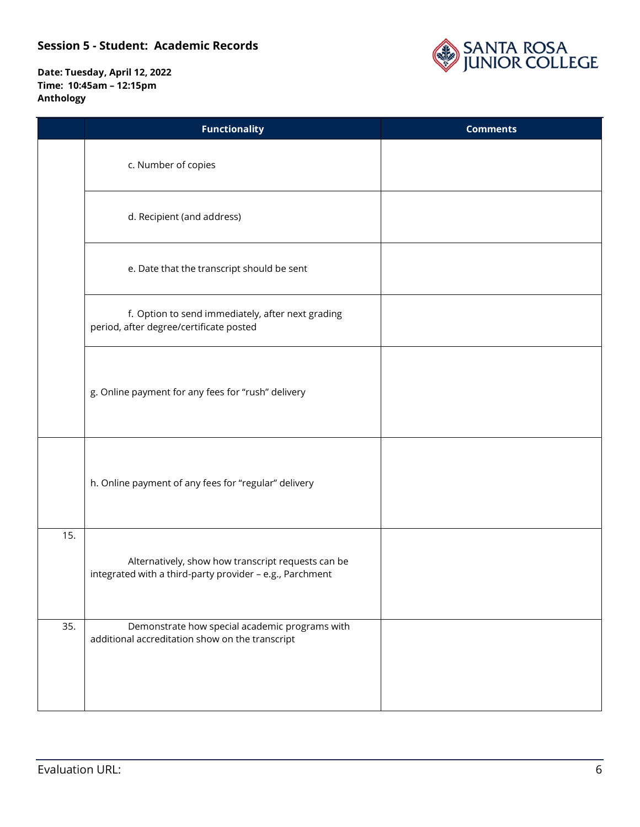

|     | <b>Functionality</b>                                                                                           | <b>Comments</b> |
|-----|----------------------------------------------------------------------------------------------------------------|-----------------|
|     | c. Number of copies                                                                                            |                 |
|     | d. Recipient (and address)                                                                                     |                 |
|     | e. Date that the transcript should be sent                                                                     |                 |
|     | f. Option to send immediately, after next grading<br>period, after degree/certificate posted                   |                 |
|     | g. Online payment for any fees for "rush" delivery                                                             |                 |
|     | h. Online payment of any fees for "regular" delivery                                                           |                 |
| 15. | Alternatively, show how transcript requests can be<br>integrated with a third-party provider - e.g., Parchment |                 |
| 35. | Demonstrate how special academic programs with<br>additional accreditation show on the transcript              |                 |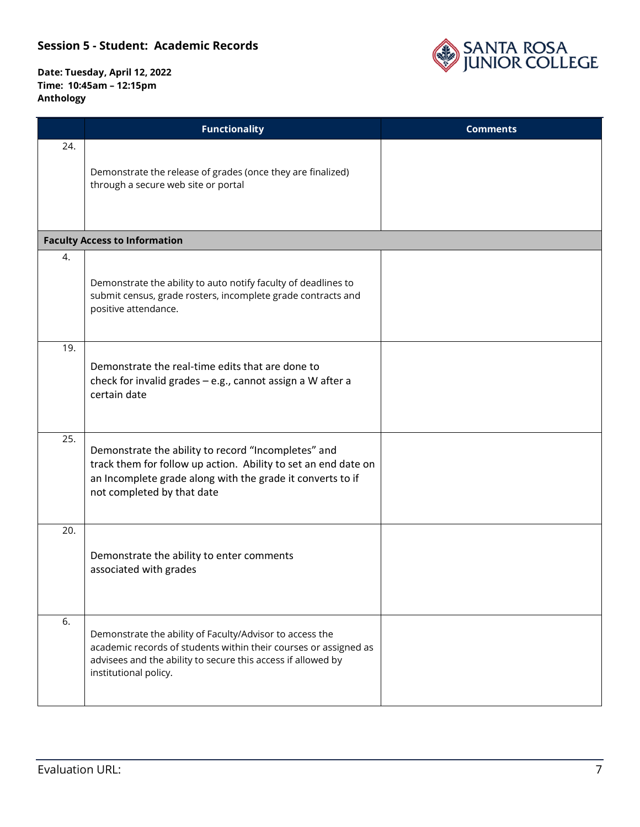

|     | <b>Functionality</b>                                                                                                                                                                                                  | <b>Comments</b> |
|-----|-----------------------------------------------------------------------------------------------------------------------------------------------------------------------------------------------------------------------|-----------------|
| 24. | Demonstrate the release of grades (once they are finalized)<br>through a secure web site or portal                                                                                                                    |                 |
|     | <b>Faculty Access to Information</b>                                                                                                                                                                                  |                 |
| 4.  | Demonstrate the ability to auto notify faculty of deadlines to<br>submit census, grade rosters, incomplete grade contracts and<br>positive attendance.                                                                |                 |
| 19. | Demonstrate the real-time edits that are done to<br>check for invalid grades - e.g., cannot assign a W after a<br>certain date                                                                                        |                 |
| 25. | Demonstrate the ability to record "Incompletes" and<br>track them for follow up action. Ability to set an end date on<br>an Incomplete grade along with the grade it converts to if<br>not completed by that date     |                 |
| 20. | Demonstrate the ability to enter comments<br>associated with grades                                                                                                                                                   |                 |
| 6.  | Demonstrate the ability of Faculty/Advisor to access the<br>academic records of students within their courses or assigned as<br>advisees and the ability to secure this access if allowed by<br>institutional policy. |                 |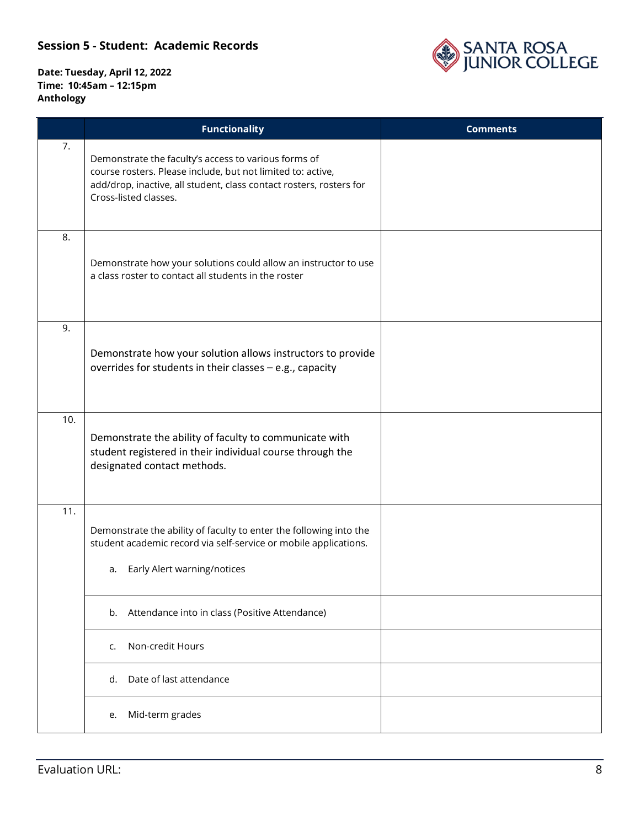

|     | <b>Functionality</b>                                                                                                                                                                                                | <b>Comments</b> |
|-----|---------------------------------------------------------------------------------------------------------------------------------------------------------------------------------------------------------------------|-----------------|
| 7.  | Demonstrate the faculty's access to various forms of<br>course rosters. Please include, but not limited to: active,<br>add/drop, inactive, all student, class contact rosters, rosters for<br>Cross-listed classes. |                 |
| 8.  | Demonstrate how your solutions could allow an instructor to use<br>a class roster to contact all students in the roster                                                                                             |                 |
| 9.  | Demonstrate how your solution allows instructors to provide<br>overrides for students in their classes - e.g., capacity                                                                                             |                 |
| 10. | Demonstrate the ability of faculty to communicate with<br>student registered in their individual course through the<br>designated contact methods.                                                                  |                 |
| 11. | Demonstrate the ability of faculty to enter the following into the<br>student academic record via self-service or mobile applications.<br>Early Alert warning/notices<br>a.                                         |                 |
|     | b. Attendance into in class (Positive Attendance)                                                                                                                                                                   |                 |
|     | Non-credit Hours<br>C.                                                                                                                                                                                              |                 |
|     | Date of last attendance<br>d.                                                                                                                                                                                       |                 |
|     | e. Mid-term grades                                                                                                                                                                                                  |                 |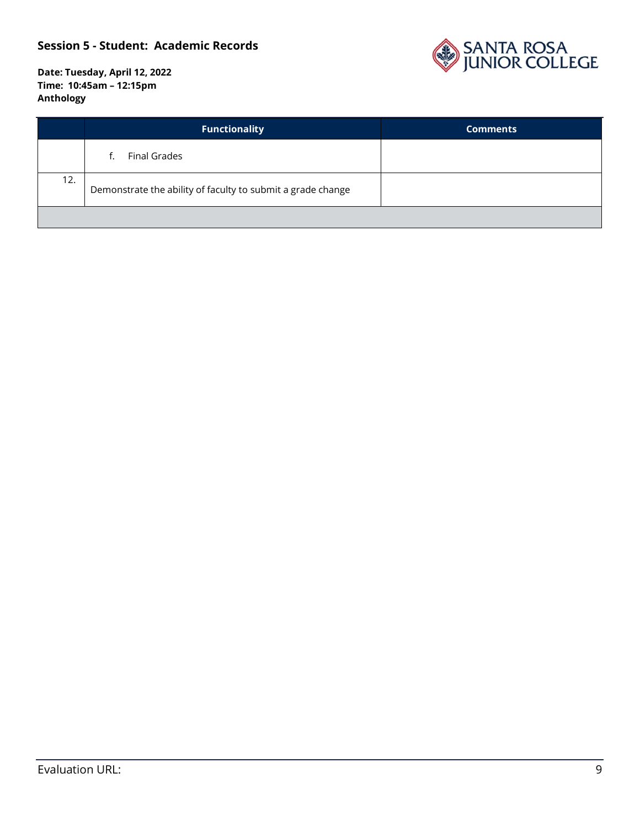

|     | <b>Functionality</b>                                        | <b>Comments</b> |
|-----|-------------------------------------------------------------|-----------------|
|     | Final Grades                                                |                 |
| 12. | Demonstrate the ability of faculty to submit a grade change |                 |
|     |                                                             |                 |